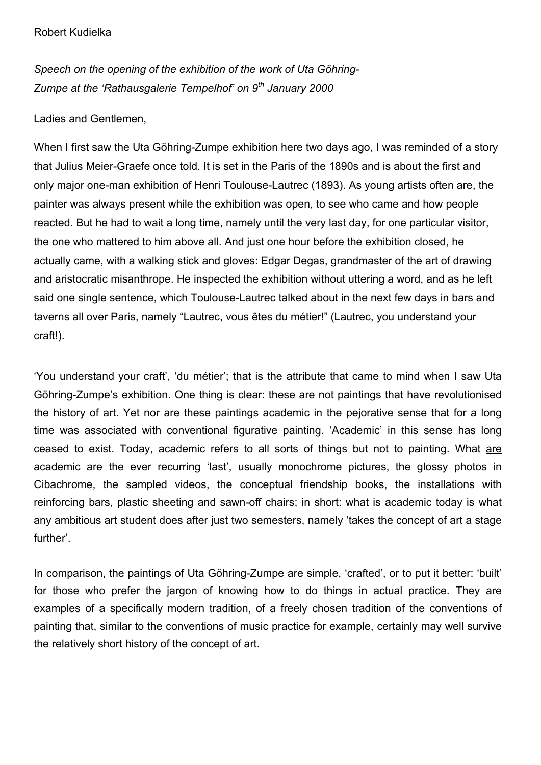*Speech on the opening of the exhibition of the work of Uta Göhring-Zumpe at the 'Rathausgalerie Tempelhof' on 9th January 2000*

Ladies and Gentlemen,

When I first saw the Uta Göhring-Zumpe exhibition here two days ago, I was reminded of a story that Julius Meier-Graefe once told. It is set in the Paris of the 1890s and is about the first and only major one-man exhibition of Henri Toulouse-Lautrec (1893). As young artists often are, the painter was always present while the exhibition was open, to see who came and how people reacted. But he had to wait a long time, namely until the very last day, for one particular visitor, the one who mattered to him above all. And just one hour before the exhibition closed, he actually came, with a walking stick and gloves: Edgar Degas, grandmaster of the art of drawing and aristocratic misanthrope. He inspected the exhibition without uttering a word, and as he left said one single sentence, which Toulouse-Lautrec talked about in the next few days in bars and taverns all over Paris, namely "Lautrec, vous êtes du métier!" (Lautrec, you understand your craft!).

'You understand your craft', 'du métier'; that is the attribute that came to mind when I saw Uta Göhring-Zumpe's exhibition. One thing is clear: these are not paintings that have revolutionised the history of art. Yet nor are these paintings academic in the pejorative sense that for a long time was associated with conventional figurative painting. 'Academic' in this sense has long ceased to exist. Today, academic refers to all sorts of things but not to painting. What are academic are the ever recurring 'last', usually monochrome pictures, the glossy photos in Cibachrome, the sampled videos, the conceptual friendship books, the installations with reinforcing bars, plastic sheeting and sawn-off chairs; in short: what is academic today is what any ambitious art student does after just two semesters, namely 'takes the concept of art a stage further'.

In comparison, the paintings of Uta Göhring-Zumpe are simple, 'crafted', or to put it better: 'built' for those who prefer the jargon of knowing how to do things in actual practice. They are examples of a specifically modern tradition, of a freely chosen tradition of the conventions of painting that, similar to the conventions of music practice for example, certainly may well survive the relatively short history of the concept of art.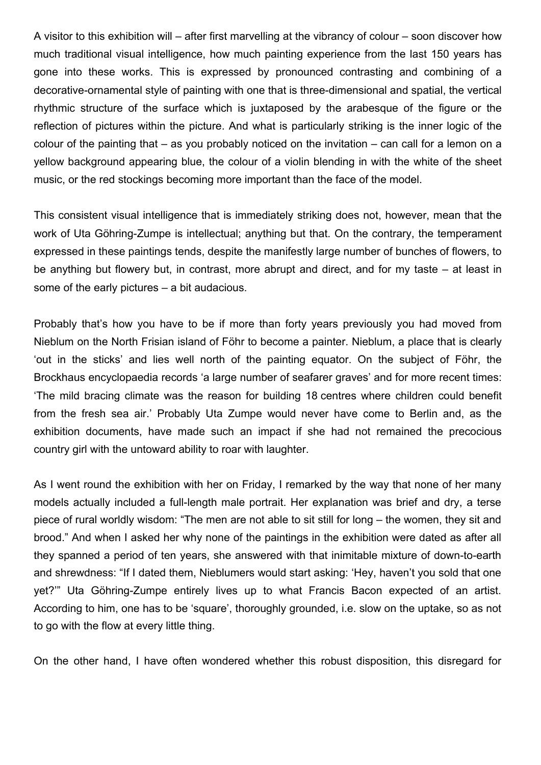A visitor to this exhibition will – after first marvelling at the vibrancy of colour – soon discover how much traditional visual intelligence, how much painting experience from the last 150 years has gone into these works. This is expressed by pronounced contrasting and combining of a decorative-ornamental style of painting with one that is three-dimensional and spatial, the vertical rhythmic structure of the surface which is juxtaposed by the arabesque of the figure or the reflection of pictures within the picture. And what is particularly striking is the inner logic of the colour of the painting that – as you probably noticed on the invitation – can call for a lemon on a yellow background appearing blue, the colour of a violin blending in with the white of the sheet music, or the red stockings becoming more important than the face of the model.

This consistent visual intelligence that is immediately striking does not, however, mean that the work of Uta Göhring-Zumpe is intellectual; anything but that. On the contrary, the temperament expressed in these paintings tends, despite the manifestly large number of bunches of flowers, to be anything but flowery but, in contrast, more abrupt and direct, and for my taste – at least in some of the early pictures – a bit audacious.

Probably that's how you have to be if more than forty years previously you had moved from Nieblum on the North Frisian island of Föhr to become a painter. Nieblum, a place that is clearly 'out in the sticks' and lies well north of the painting equator. On the subject of Föhr, the Brockhaus encyclopaedia records 'a large number of seafarer graves' and for more recent times: 'The mild bracing climate was the reason for building 18 centres where children could benefit from the fresh sea air.' Probably Uta Zumpe would never have come to Berlin and, as the exhibition documents, have made such an impact if she had not remained the precocious country girl with the untoward ability to roar with laughter.

As I went round the exhibition with her on Friday, I remarked by the way that none of her many models actually included a full-length male portrait. Her explanation was brief and dry, a terse piece of rural worldly wisdom: "The men are not able to sit still for long – the women, they sit and brood." And when I asked her why none of the paintings in the exhibition were dated as after all they spanned a period of ten years, she answered with that inimitable mixture of down-to-earth and shrewdness: "If I dated them, Nieblumers would start asking: 'Hey, haven't you sold that one yet?'" Uta Göhring-Zumpe entirely lives up to what Francis Bacon expected of an artist. According to him, one has to be 'square', thoroughly grounded, i.e. slow on the uptake, so as not to go with the flow at every little thing.

On the other hand, I have often wondered whether this robust disposition, this disregard for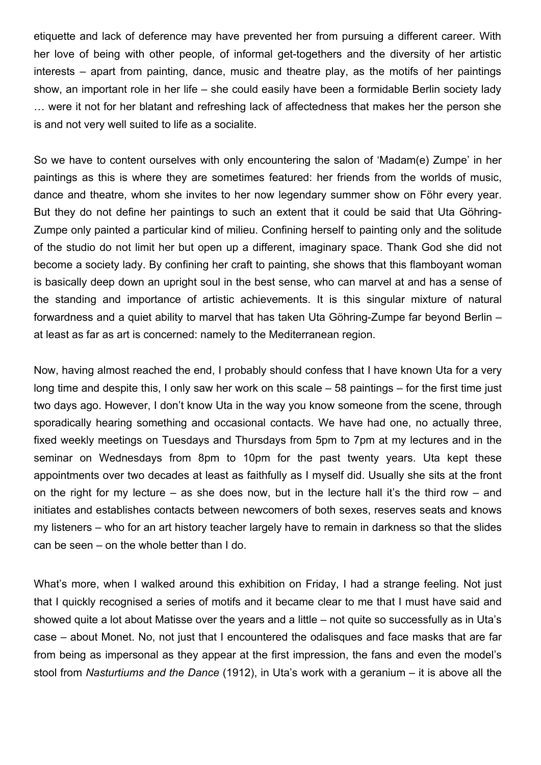etiquette and lack of deference may have prevented her from pursuing a different career. With her love of being with other people, of informal get-togethers and the diversity of her artistic interests – apart from painting, dance, music and theatre play, as the motifs of her paintings show, an important role in her life – she could easily have been a formidable Berlin society lady … were it not for her blatant and refreshing lack of affectedness that makes her the person she is and not very well suited to life as a socialite.

So we have to content ourselves with only encountering the salon of 'Madam(e) Zumpe' in her paintings as this is where they are sometimes featured: her friends from the worlds of music, dance and theatre, whom she invites to her now legendary summer show on Föhr every year. But they do not define her paintings to such an extent that it could be said that Uta Göhring-Zumpe only painted a particular kind of milieu. Confining herself to painting only and the solitude of the studio do not limit her but open up a different, imaginary space. Thank God she did not become a society lady. By confining her craft to painting, she shows that this flamboyant woman is basically deep down an upright soul in the best sense, who can marvel at and has a sense of the standing and importance of artistic achievements. It is this singular mixture of natural forwardness and a quiet ability to marvel that has taken Uta Göhring-Zumpe far beyond Berlin – at least as far as art is concerned: namely to the Mediterranean region.

Now, having almost reached the end, I probably should confess that I have known Uta for a very long time and despite this, I only saw her work on this scale – 58 paintings – for the first time just two days ago. However, I don't know Uta in the way you know someone from the scene, through sporadically hearing something and occasional contacts. We have had one, no actually three, fixed weekly meetings on Tuesdays and Thursdays from 5pm to 7pm at my lectures and in the seminar on Wednesdays from 8pm to 10pm for the past twenty years. Uta kept these appointments over two decades at least as faithfully as I myself did. Usually she sits at the front on the right for my lecture – as she does now, but in the lecture hall it's the third row – and initiates and establishes contacts between newcomers of both sexes, reserves seats and knows my listeners – who for an art history teacher largely have to remain in darkness so that the slides can be seen – on the whole better than I do.

What's more, when I walked around this exhibition on Friday, I had a strange feeling. Not just that I quickly recognised a series of motifs and it became clear to me that I must have said and showed quite a lot about Matisse over the years and a little – not quite so successfully as in Uta's case – about Monet. No, not just that I encountered the odalisques and face masks that are far from being as impersonal as they appear at the first impression, the fans and even the model's stool from *Nasturtiums and the Dance* (1912), in Uta's work with a geranium – it is above all the